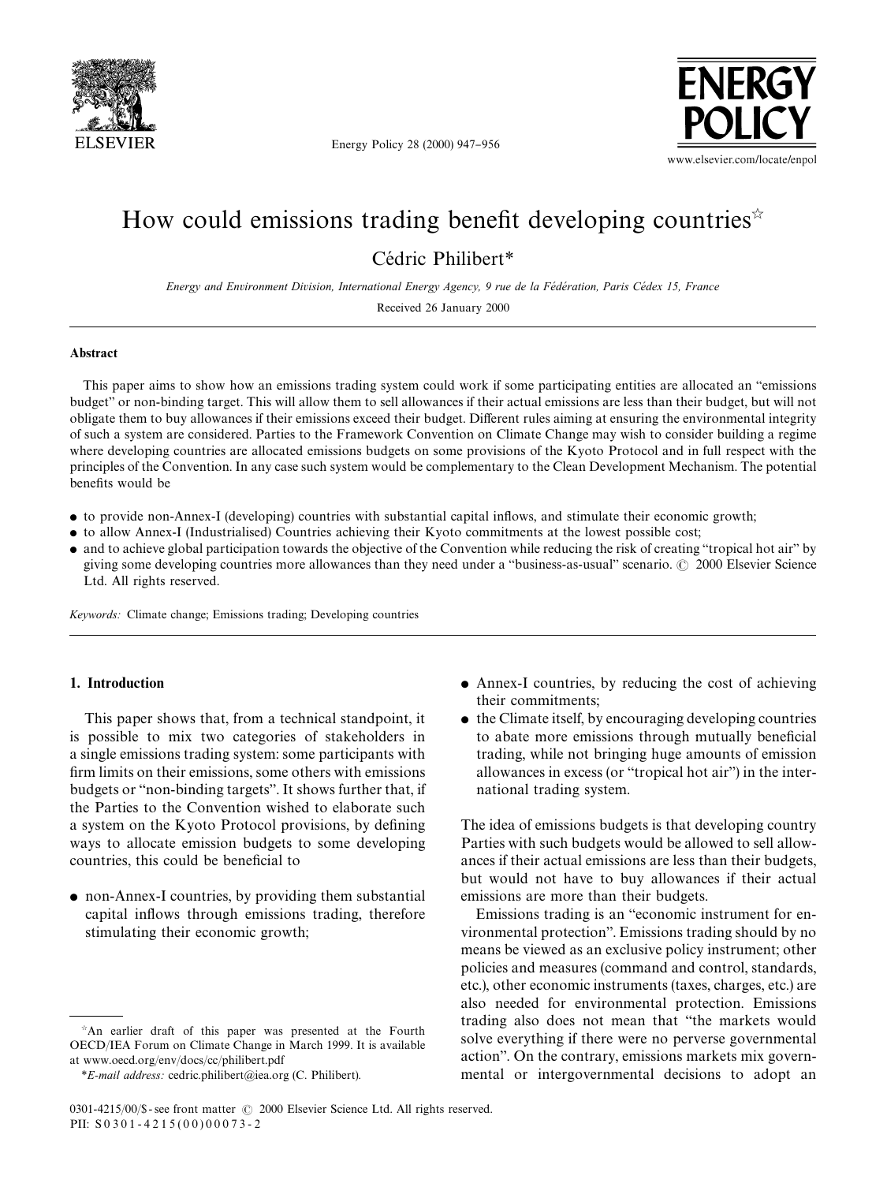

**FNFRGY** www.elsevier.com/locate/enpol

Energy Policy 28 (2000) 947-956

# How could emissions trading benefit developing countries<sup> $\star$ </sup> Cédric Philibert\*

*Energy and Environment Division, International Energy Agency, 9 rue de la Fe*&*de*&*ration, Paris Ce*& *dex 15, France*

Received 26 January 2000

## Abstract

This paper aims to show how an emissions trading system could work if some participating entities are allocated an "emissions" budget" or non-binding target. This will allow them to sell allowances if their actual emissions are less than their budget, but will not obligate them to buy allowances if their emissions exceed their budget. Different rules aiming at ensuring the environmental integrity of such a system are considered. Parties to the Framework Convention on Climate Change may wish to consider building a regime where developing countries are allocated emissions budgets on some provisions of the Kyoto Protocol and in full respect with the principles of the Convention. In any case such system would be complementary to the Clean Development Mechanism. The potential benefits would be

- to provide non-Annex-I (developing) countries with substantial capital inflows, and stimulate their economic growth;
- to allow Annex-I (Industrialised) Countries achieving their Kyoto commitments at the lowest possible cost;
- and to achieve global participation towards the objective of the Convention while reducing the risk of creating "tropical hot air" by giving some developing countries more allowances than they need under a "business-as-usual" scenario.  $\odot$  2000 Elsevier Science Ltd. All rights reserved.

*Keywords:* Climate change; Emissions trading; Developing countries

## 1. Introduction

This paper shows that, from a technical standpoint, it is possible to mix two categories of stakeholders in a single emissions trading system: some participants with firm limits on their emissions, some others with emissions budgets or "non-binding targets". It shows further that, if the Parties to the Convention wished to elaborate such a system on the Kyoto Protocol provisions, by defining ways to allocate emission budgets to some developing countries, this could be beneficial to

• non-Annex-I countries, by providing them substantial capital inflows through emissions trading, therefore stimulating their economic growth;

- $\bullet$  Annex-I countries, by reducing the cost of achieving their commitments;
- $\bullet$  the Climate itself, by encouraging developing countries to abate more emissions through mutually beneficial trading, while not bringing huge amounts of emission allowances in excess (or "tropical hot air") in the international trading system.

The idea of emissions budgets is that developing country Parties with such budgets would be allowed to sell allowances if their actual emissions are less than their budgets, but would not have to buy allowances if their actual emissions are more than their budgets.

Emissions trading is an "economic instrument for environmental protection". Emissions trading should by no means be viewed as an exclusive policy instrument; other policies and measures (command and control, standards, etc.), other economic instruments (taxes, charges, etc.) are also needed for environmental protection. Emissions trading also does not mean that "the markets would solve everything if there were no perverse governmental action". On the contrary, emissions markets mix governmental or intergovernmental decisions to adopt an

 $A$ n earlier draft of this paper was presented at the Fourth OECD/IEA Forum on Climate Change in March 1999. It is available at www.oecd.org/env/docs/cc/philibert.pdf

*<sup>\*</sup>E-mail address:* cedric.philibert@iea.org (C. Philibert).

<sup>0301-4215/00/\$ -</sup> see front matter  $\degree$  2000 Elsevier Science Ltd. All rights reserved. PII:  $S 0 3 0 1 - 4 2 1 5 (0 0) 0 0 0 7 3 - 2$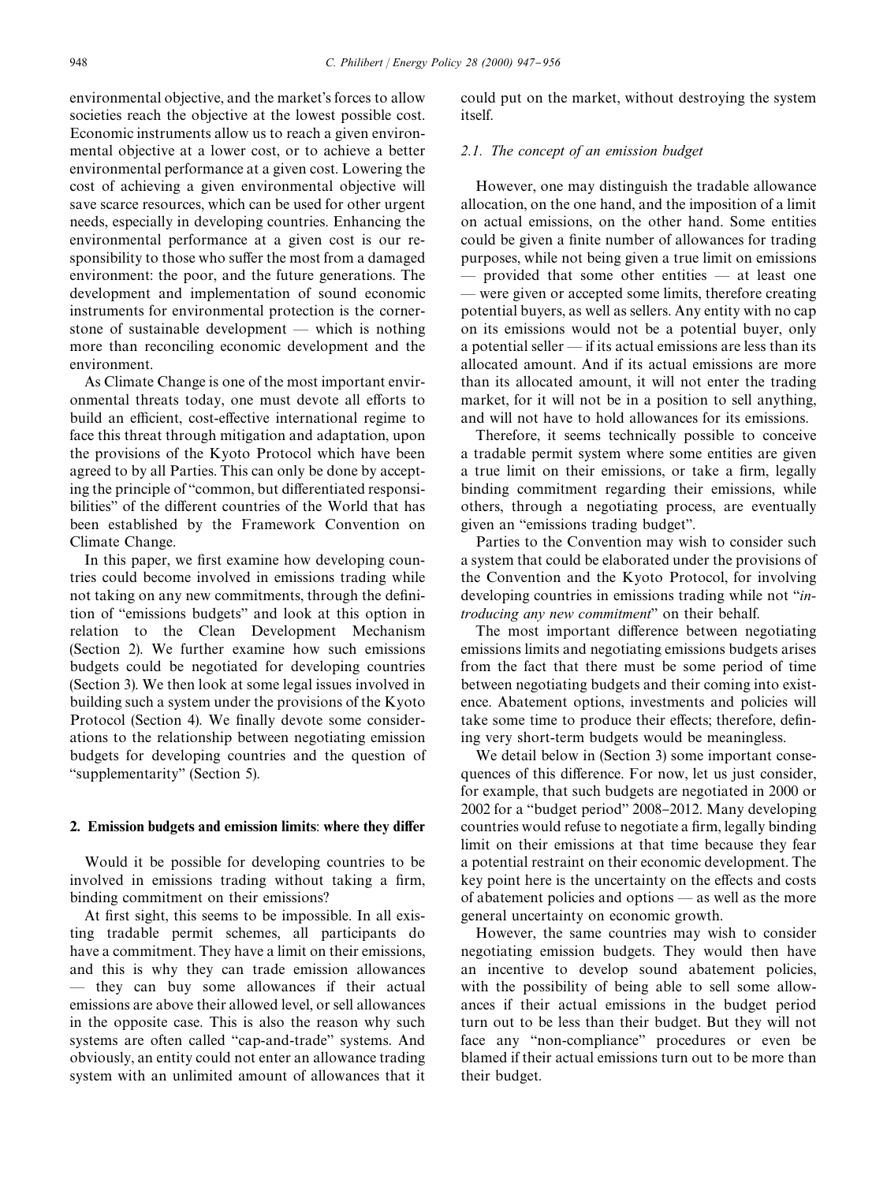environmental objective, and the market's forces to allow societies reach the objective at the lowest possible cost. Economic instruments allow us to reach a given environmental objective at a lower cost, or to achieve a better environmental performance at a given cost. Lowering the cost of achieving a given environmental objective will save scarce resources, which can be used for other urgent needs, especially in developing countries. Enhancing the environmental performance at a given cost is our responsibility to those who suffer the most from a damaged environment: the poor, and the future generations. The development and implementation of sound economic instruments for environmental protection is the cornerstone of sustainable development  $-$  which is nothing more than reconciling economic development and the environment.

As Climate Change is one of the most important environmental threats today, one must devote all efforts to build an efficient, cost-effective international regime to face this threat through mitigation and adaptation, upon the provisions of the Kyoto Protocol which have been agreed to by all Parties. This can only be done by accepting the principle of "common, but differentiated responsibilities" of the different countries of the World that has been established by the Framework Convention on Climate Change.

In this paper, we first examine how developing countries could become involved in emissions trading while not taking on any new commitments, through the definition of "emissions budgets" and look at this option in relation to the Clean Development Mechanism (Section 2). We further examine how such emissions budgets could be negotiated for developing countries (Section 3). We then look at some legal issues involved in building such a system under the provisions of the Kyoto Protocol (Section 4). We finally devote some considerations to the relationship between negotiating emission budgets for developing countries and the question of "supplementarity" (Section 5).

#### 2. Emission budgets and emission limits: where they differ

Would it be possible for developing countries to be involved in emissions trading without taking a firm, binding commitment on their emissions?

At first sight, this seems to be impossible. In all existing tradable permit schemes, all participants do have a commitment. They have a limit on their emissions, and this is why they can trade emission allowances  $-$  they can buy some allowances if their actual emissions are above their allowed level, or sell allowances in the opposite case. This is also the reason why such systems are often called "cap-and-trade" systems. And obviously, an entity could not enter an allowance trading system with an unlimited amount of allowances that it could put on the market, without destroying the system itself.

### *2.1. The concept of an emission budget*

However, one may distinguish the tradable allowance allocation, on the one hand, and the imposition of a limit on actual emissions, on the other hand. Some entities could be given a finite number of allowances for trading purposes, while not being given a true limit on emissions  $-$  provided that some other entities  $-$  at least one — were given or accepted some limits, therefore creating potential buyers, as well as sellers. Any entity with no cap on its emissions would not be a potential buyer, only a potential seller  $-$  if its actual emissions are less than its allocated amount. And if its actual emissions are more than its allocated amount, it will not enter the trading market, for it will not be in a position to sell anything, and will not have to hold allowances for its emissions.

Therefore, it seems technically possible to conceive a tradable permit system where some entities are given a true limit on their emissions, or take a firm, legally binding commitment regarding their emissions, while others, through a negotiating process, are eventually given an "emissions trading budget".

Parties to the Convention may wish to consider such a system that could be elaborated under the provisions of the Convention and the Kyoto Protocol, for involving developing countries in emissions trading while not `*introducing any new commitment*" on their behalf.

The most important difference between negotiating emissions limits and negotiating emissions budgets arises from the fact that there must be some period of time between negotiating budgets and their coming into existence. Abatement options, investments and policies will take some time to produce their effects; therefore, defining very short-term budgets would be meaningless.

We detail below in (Section 3) some important consequences of this difference. For now, let us just consider, for example, that such budgets are negotiated in 2000 or 2002 for a "budget period" 2008-2012. Many developing countries would refuse to negotiate a firm, legally binding limit on their emissions at that time because they fear a potential restraint on their economic development. The key point here is the uncertainty on the effects and costs of abatement policies and options  $-$  as well as the more general uncertainty on economic growth.

However, the same countries may wish to consider negotiating emission budgets. They would then have an incentive to develop sound abatement policies, with the possibility of being able to sell some allowances if their actual emissions in the budget period turn out to be less than their budget. But they will not face any "non-compliance" procedures or even be blamed if their actual emissions turn out to be more than their budget.